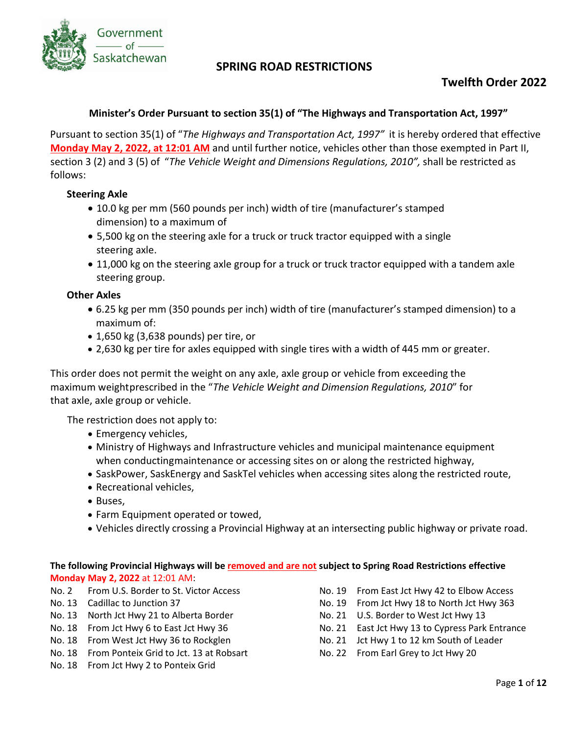

# **Twelfth Order 2022**

### **Minister's Order Pursuant to section 35(1) of "The Highways and Transportation Act, 1997"**

Pursuant to section 35(1) of "*The Highways and Transportation Act, 1997"* it is hereby ordered that effective **Monday May 2, 2022, at 12:01 AM** and until further notice, vehicles other than those exempted in Part II, section 3 (2) and 3 (5) of "*The Vehicle Weight and Dimensions Regulations, 2010",* shall be restricted as follows:

### **Steering Axle**

- 10.0 kg per mm (560 pounds per inch) width of tire (manufacturer's stamped dimension) to a maximum of
- 5,500 kg on the steering axle for a truck or truck tractor equipped with a single steering axle.
- 11,000 kg on the steering axle group for a truck or truck tractor equipped with a tandem axle steering group.

### **Other Axles**

- 6.25 kg per mm (350 pounds per inch) width of tire (manufacturer's stamped dimension) to a maximum of:
- 1,650 kg (3,638 pounds) per tire, or
- 2,630 kg per tire for axles equipped with single tires with a width of 445 mm or greater.

This order does not permit the weight on any axle, axle group or vehicle from exceeding the maximum weightprescribed in the "*The Vehicle Weight and Dimension Regulations, 2010*" for that axle, axle group or vehicle.

The restriction does not apply to:

- Emergency vehicles,
- Ministry of Highways and Infrastructure vehicles and municipal maintenance equipment when conductingmaintenance or accessing sites on or along the restricted highway,
- SaskPower, SaskEnergy and SaskTel vehicles when accessing sites along the restricted route,
- Recreational vehicles,
- Buses,
- Farm Equipment operated or towed,
- Vehicles directly crossing a Provincial Highway at an intersecting public highway or private road.

#### **The following Provincial Highways will be removed and are not subject to Spring Road Restrictions effective Monday May 2, 2022** at 12:01 AM:

- No. 2 From U.S. Border to St. Victor Access
- No. 13 Cadillac to Junction 37
- No. 13 North Jct Hwy 21 to Alberta Border
- No. 18 From Jct Hwy 6 to East Jct Hwy 36
- No. 18 From West Jct Hwy 36 to Rockglen
- No. 18 From Ponteix Grid to Jct. 13 at Robsart
- No. 18 From Jct Hwy 2 to Ponteix Grid
- No. 19 From East Jct Hwy 42 to Elbow Access
- No. 19 From Jct Hwy 18 to North Jct Hwy 363
- No. 21 U.S. Border to West Jct Hwy 13
- No. 21 East Jct Hwy 13 to Cypress Park Entrance
- No. 21 Jct Hwy 1 to 12 km South of Leader
- No. 22 From Earl Grey to Jct Hwy 20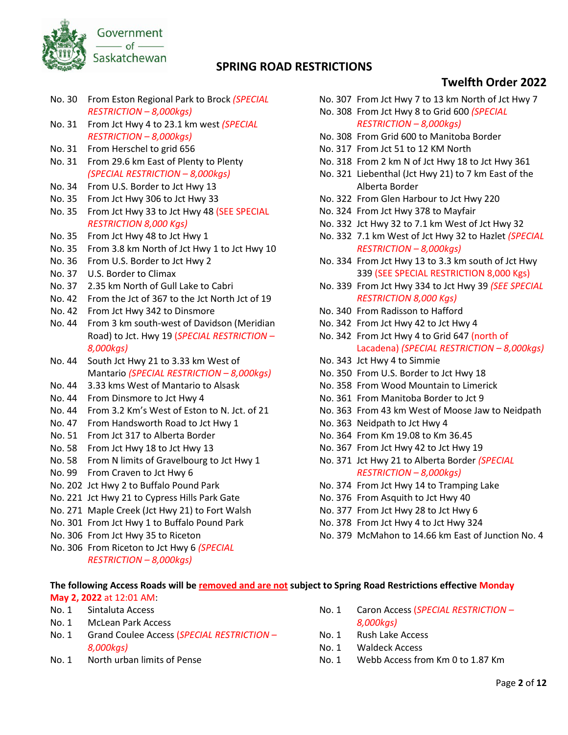

# **Twelfth Order 2022**

- No. 30 From Eston Regional Park to Brock *(SPECIAL RESTRICTION – 8,000kgs)*
- No. 31 From Jct Hwy 4 to 23.1 km west *(SPECIAL RESTRICTION – 8,000kgs)*
- No. 31 From Herschel to grid 656
- No. 31 From 29.6 km East of Plenty to Plenty *(SPECIAL RESTRICTION – 8,000kgs)*
- No. 34 From U.S. Border to Jct Hwy 13
- No. 35 From Jct Hwy 306 to Jct Hwy 33
- No. 35 From Jct Hwy 33 to Jct Hwy 48 (SEE SPECIAL *RESTRICTION 8,000 Kgs)*
- No. 35 From Jct Hwy 48 to Jct Hwy 1
- No. 35 From 3.8 km North of Jct Hwy 1 to Jct Hwy 10
- No. 36 From U.S. Border to Jct Hwy 2
- No. 37 U.S. Border to Climax
- No. 37 2.35 km North of Gull Lake to Cabri
- No. 42 From the Jct of 367 to the Jct North Jct of 19
- No. 42 From Jct Hwy 342 to Dinsmore
- No. 44 From 3 km south-west of Davidson (Meridian Road) to Jct. Hwy 19 (*SPECIAL RESTRICTION – 8,000kgs)*
- No. 44 South Jct Hwy 21 to 3.33 km West of Mantario *(SPECIAL RESTRICTION – 8,000kgs)*
- No. 44 3.33 kms West of Mantario to Alsask
- No. 44 From Dinsmore to Jct Hwy 4
- No. 44 From 3.2 Km's West of Eston to N. Jct. of 21
- No. 47 From Handsworth Road to Jct Hwy 1
- No. 51 From Jct 317 to Alberta Border
- No. 58 From Jct Hwy 18 to Jct Hwy 13
- No. 58 From N limits of Gravelbourg to Jct Hwy 1
- No. 99 From Craven to Jct Hwy 6
- No. 202 Jct Hwy 2 to Buffalo Pound Park
- No. 221 Jct Hwy 21 to Cypress Hills Park Gate
- No. 271 Maple Creek (Jct Hwy 21) to Fort Walsh
- No. 301 From Jct Hwy 1 to Buffalo Pound Park
- No. 306 From Jct Hwy 35 to Riceton
- No. 306 From Riceton to Jct Hwy 6 *(SPECIAL RESTRICTION – 8,000kgs)*
- No. 307 From Jct Hwy 7 to 13 km North of Jct Hwy 7 No. 308 From Jct Hwy 8 to Grid 600 *(SPECIAL* 
	- *RESTRICTION – 8,000kgs)*
- No. 308 From Grid 600 to Manitoba Border
- No. 317 From Jct 51 to 12 KM North
- No. 318 From 2 km N of Jct Hwy 18 to Jct Hwy 361
- No. 321 Liebenthal (Jct Hwy 21) to 7 km East of the Alberta Border
- No. 322 From Glen Harbour to Jct Hwy 220
- No. 324 From Jct Hwy 378 to Mayfair
- No. 332 Jct Hwy 32 to 7.1 km West of Jct Hwy 32
- No. 332 7.1 km West of Jct Hwy 32 to Hazlet *(SPECIAL RESTRICTION – 8,000kgs)*
- No. 334 From Jct Hwy 13 to 3.3 km south of Jct Hwy 339 (SEE SPECIAL RESTRICTION 8,000 Kgs)
- No. 339 From Jct Hwy 334 to Jct Hwy 39 *(SEE SPECIAL RESTRICTION 8,000 Kgs)*
- No. 340 From Radisson to Hafford
- No. 342 From Jct Hwy 42 to Jct Hwy 4
- No. 342 From Jct Hwy 4 to Grid 647 (north of Lacadena) *(SPECIAL RESTRICTION – 8,000kgs)*
- No. 343 Jct Hwy 4 to Simmie
- No. 350 From U.S. Border to Jct Hwy 18
- No. 358 From Wood Mountain to Limerick
- No. 361 From Manitoba Border to Jct 9
- No. 363 From 43 km West of Moose Jaw to Neidpath
- No. 363 Neidpath to Jct Hwy 4
- No. 364 From Km 19.08 to Km 36.45
- No. 367 From Jct Hwy 42 to Jct Hwy 19
- No. 371 Jct Hwy 21 to Alberta Border *(SPECIAL RESTRICTION – 8,000kgs)*
- No. 374 From Jct Hwy 14 to Tramping Lake
- No. 376 From Asquith to Jct Hwy 40
- No. 377 From Jct Hwy 28 to Jct Hwy 6
- No. 378 From Jct Hwy 4 to Jct Hwy 324
- No. 379 McMahon to 14.66 km East of Junction No. 4

#### **The following Access Roads will be removed and are not subject to Spring Road Restrictions effective Monday May 2, 2022** at 12:01 AM:

- No. 1 Sintaluta Access
- No. 1 McLean Park Access
- No. 1 Grand Coulee Access (*SPECIAL RESTRICTION – 8,000kgs)*
- No. 1 North urban limits of Pense
- No. 1 Caron Access (*SPECIAL RESTRICTION – 8,000kgs)*
- No. 1 Rush Lake Access
- No. 1 Waldeck Access
- No. 1 Webb Access from Km 0 to 1.87 Km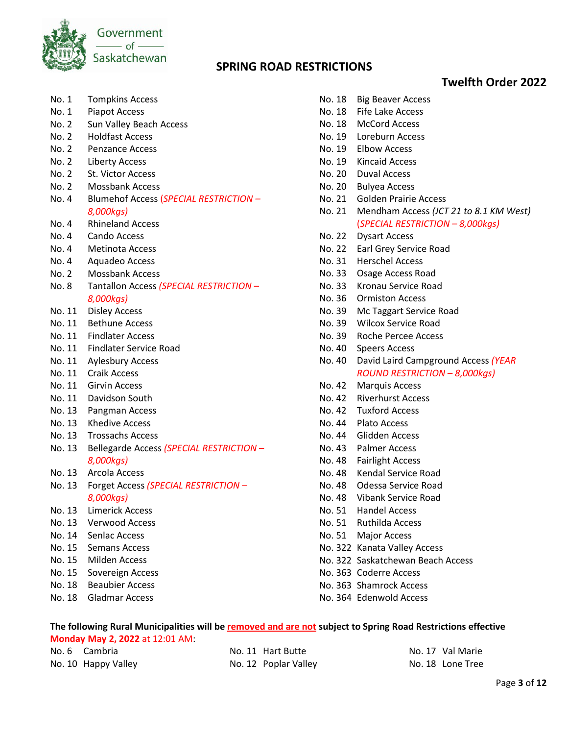

# **Twelfth Order 2022**

- No. 1 Tompkins Access
- No. 1 Piapot Access
- No. 2 Sun Valley Beach Access
- No. 2 Holdfast Access
- No. 2 Penzance Access
- No. 2 Liberty Access
- No. 2 St. Victor Access
- No. 2 Mossbank Access
- No. 4 Blumehof Access (*SPECIAL RESTRICTION – 8,000kgs)*
- No. 4 Rhineland Access
- No. 4 Cando Access
- No. 4 Metinota Access
- No. 4 Aquadeo Access
- No. 2 Mossbank Access
- No. 8 Tantallon Access *(SPECIAL RESTRICTION – 8,000kgs)*
- No. 11 Disley Access
- No. 11 Bethune Access
- No. 11 Findlater Access
- No. 11 Findlater Service Road
- No. 11 Aylesbury Access
- No. 11 Craik Access
- No. 11 Girvin Access
- No. 11 Davidson South
- No. 13 Pangman Access
- No. 13 Khedive Access
- No. 13 Trossachs Access
- No. 13 Bellegarde Access *(SPECIAL RESTRICTION – 8,000kgs)*
- No. 13 Arcola Access
- No. 13 Forget Access *(SPECIAL RESTRICTION – 8,000kgs)*
- No. 13 Limerick Access
- No. 13 Verwood Access
- No. 14 Senlac Access
- No. 15 Semans Access
- No. 15 Milden Access
- No. 15 Sovereign Access
- No. 18 Beaubier Access
- No. 18 Gladmar Access
- No. 18 McCord Access No. 19 Loreburn Access No. 19 Elbow Access No. 19 Kincaid Access No. 20 Duval Access No. 20 Bulyea Access No. 21 Golden Prairie Access No. 21 Mendham Access *(JCT 21 to 8.1 KM West)*  (*SPECIAL RESTRICTION – 8,000kgs)* No. 22 Dysart Access No. 22 Earl Grey Service Road No. 31 Herschel Access No. 33 Osage Access Road
- No. 33 Kronau Service Road
- No. 36 Ormiston Access

No. 18 Big Beaver Access No. 18 Fife Lake Access

- No. 39 Mc Taggart Service Road
- No. 39 Wilcox Service Road
- No. 39 Roche Percee Access
- No. 40 Speers Access
- No. 40 David Laird Campground Access *(YEAR ROUND RESTRICTION – 8,000kgs)*
- No. 42 Marquis Access
- No. 42 Riverhurst Access
- No. 42 Tuxford Access
- No. 44 Plato Access
- No. 44 Glidden Access
- No. 43 Palmer Access
- No. 48 Fairlight Access
- No. 48 Kendal Service Road
- No. 48 Odessa Service Road
- No. 48 Vibank Service Road
- No. 51 Handel Access
- No. 51 Ruthilda Access
- No. 51 Major Access
- No. 322 Kanata Valley Access
- No. 322 Saskatchewan Beach Access
- No. 363 Coderre Access
- No. 363 Shamrock Access
- No. 364 Edenwold Access

# **The following Rural Municipalities will be removed and are not subject to Spring Road Restrictions effective**

**Monday May 2, 2022** at 12:01 AM: No. 6 Cambria

No. 10 Happy Valley

No. 12 Poplar Valley

No. 17 Val Marie No. 18 Lone Tree

No. 11 Hart Butte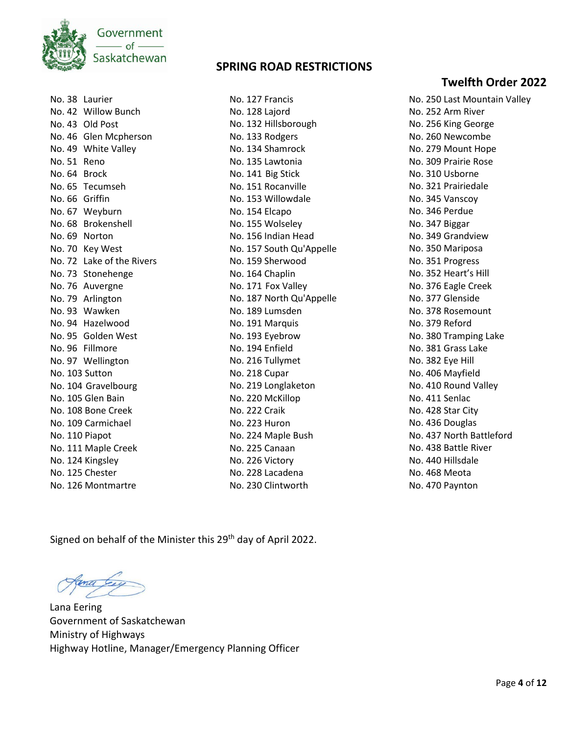

| No. 38         | Laurier                   |
|----------------|---------------------------|
| No. 42         | <b>Willow Bunch</b>       |
|                | No. 43 Old Post           |
|                | No. 46 Glen Mcpherson     |
| No. 49         | <b>White Valley</b>       |
| No. 51 Reno    |                           |
| No. 64 Brock   |                           |
| No. 65         | Tecumseh                  |
| No. 66 Griffin |                           |
| No. 67         | Weyburn                   |
| No. 68         | <b>Brokenshell</b>        |
| No. 69         | Norton                    |
|                | No. 70 Key West           |
|                | No. 72 Lake of the Rivers |
|                | No. 73 Stonehenge         |
|                | No. 76 Auvergne           |
|                | No. 79 Arlington          |
|                | No. 93 Wawken             |
|                | No. 94 Hazelwood          |
|                | No. 95 Golden West        |
|                | No. 96 Fillmore           |
|                | No. 97 Wellington         |
| No. 103 Sutton |                           |
|                | No. 104 Gravelbourg       |
|                | No. 105 Glen Bain         |
|                | No. 108 Bone Creek        |
|                | No. 109 Carmichael        |
| No. 110 Piapot |                           |
|                | No. 111 Maple Creek       |
|                | No. 124 Kingsley          |
|                | No. 125 Chester           |
|                | No. 126 Montmartre        |

No. 127 Francis No. 128 Lajord No. 132 Hillsborough No. 133 Rodgers No. 134 Shamrock No. 135 Lawtonia No. 141 Big Stick No. 151 Rocanville No. 153 Willowdale No. 154 Elcapo No. 155 Wolseley No. 156 Indian Head No. 157 South Qu'Appelle No. 159 Sherwood No. 164 Chaplin No. 171 Fox Valley No. 187 North Qu'Appelle No. 189 Lumsden No. 191 Marquis No. 193 Eyebrow No. 194 Enfield No. 216 Tullymet No. 218 Cupar No. 219 Longlaketon No. 220 McKillop No. 222 Craik No. 223 Huron No. 224 Maple Bush No. 225 Canaan No. 226 Victory No. 228 Lacadena No. 230 Clintworth

## **Twelfth Order 2022**

No. 250 Last Mountain Valley No. 252 Arm River No. 256 King George No. 260 Newcombe No. 279 Mount Hope No. 309 Prairie Rose No. 310 Usborne No. 321 Prairiedale No. 345 Vanscoy No. 346 Perdue No. 347 Biggar No. 349 Grandview No. 350 Mariposa No. 351 Progress No. 352 Heart's Hill No. 376 Eagle Creek No. 377 Glenside No. 378 Rosemount No. 379 Reford No. 380 Tramping Lake No. 381 Grass Lake No. 382 Eye Hill No. 406 Mayfield No. 410 Round Valley No. 411 Senlac No. 428 Star City No. 436 Douglas No. 437 North Battleford No. 438 Battle River No. 440 Hillsdale No. 468 Meota No. 470 Paynton

Signed on behalf of the Minister this 29<sup>th</sup> day of April 2022.

Lana Eering Government of Saskatchewan Ministry of Highways Highway Hotline, Manager/Emergency Planning Officer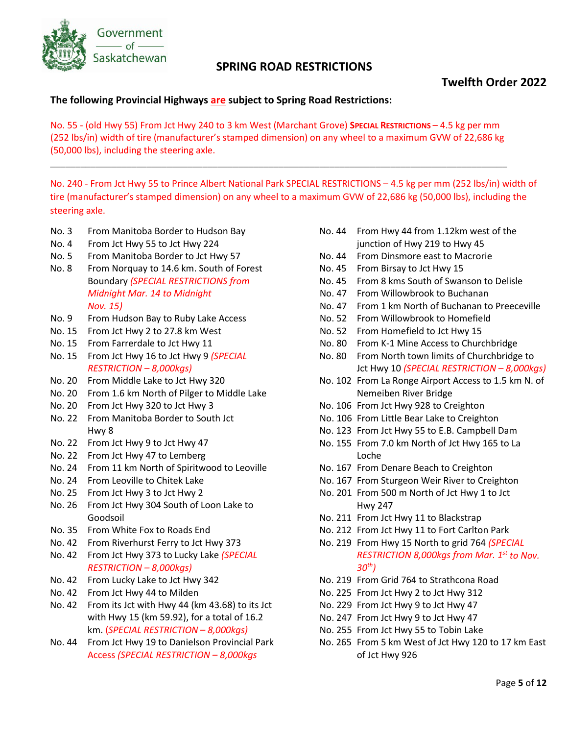

## **Twelfth Order 2022**

### **The following Provincial Highways are subject to Spring Road Restrictions:**

No. 55 - (old Hwy 55) From Jct Hwy 240 to 3 km West (Marchant Grove) **SPECIAL RESTRICTIONS** – 4.5 kg per mm (252 lbs/in) width of tire (manufacturer's stamped dimension) on any wheel to a maximum GVW of 22,686 kg (50,000 lbs), including the steering axle.

\_\_\_\_\_\_\_\_\_\_\_\_\_\_\_\_\_\_\_\_\_\_\_\_\_\_\_\_\_\_\_\_\_\_\_\_\_\_\_\_\_\_\_\_\_\_\_\_\_\_\_\_\_\_\_\_\_\_\_\_\_\_\_\_\_\_\_\_\_\_\_\_\_\_\_\_\_\_\_\_\_\_\_\_\_\_\_\_\_\_

No. 240 - From Jct Hwy 55 to Prince Albert National Park SPECIAL RESTRICTIONS – 4.5 kg per mm (252 lbs/in) width of tire (manufacturer's stamped dimension) on any wheel to a maximum GVW of 22,686 kg (50,000 lbs), including the steering axle.

- No. 3 From Manitoba Border to Hudson Bay
- No. 4 From Jct Hwy 55 to Jct Hwy 224
- No. 5 From Manitoba Border to Jct Hwy 57
- No. 8 From Norquay to 14.6 km. South of Forest Boundary *(SPECIAL RESTRICTIONS from Midnight Mar. 14 to Midnight Nov. 15)*
- No. 9 From Hudson Bay to Ruby Lake Access
- No. 15 From Jct Hwy 2 to 27.8 km West
- No. 15 From Farrerdale to Jct Hwy 11
- No. 15 From Jct Hwy 16 to Jct Hwy 9 *(SPECIAL RESTRICTION – 8,000kgs)*
- No. 20 From Middle Lake to Jct Hwy 320
- No. 20 From 1.6 km North of Pilger to Middle Lake
- No. 20 From Jct Hwy 320 to Jct Hwy 3
- No. 22 From Manitoba Border to South Jct Hwy 8
- No. 22 From Jct Hwy 9 to Jct Hwy 47
- No. 22 From Jct Hwy 47 to Lemberg
- No. 24 From 11 km North of Spiritwood to Leoville
- No. 24 From Leoville to Chitek Lake
- No. 25 From Jct Hwy 3 to Jct Hwy 2
- No. 26 From Jct Hwy 304 South of Loon Lake to Goodsoil
- No. 35 From White Fox to Roads End
- No. 42 From Riverhurst Ferry to Jct Hwy 373
- No. 42 From Jct Hwy 373 to Lucky Lake *(SPECIAL RESTRICTION – 8,000kgs)*
- No. 42 From Lucky Lake to Jct Hwy 342
- No. 42 From Jct Hwy 44 to Milden
- No. 42 From its Jct with Hwy 44 (km 43.68) to its Jct with Hwy 15 (km 59.92), for a total of 16.2 km. (*SPECIAL RESTRICTION – 8,000kgs)*
- No. 44 From Jct Hwy 19 to Danielson Provincial Park Access *(SPECIAL RESTRICTION – 8,000kgs*
- No. 44 From Hwy 44 from 1.12km west of the junction of Hwy 219 to Hwy 45
- No. 44 From Dinsmore east to Macrorie
- No. 45 From Birsay to Jct Hwy 15
- No. 45 From 8 kms South of Swanson to Delisle
- No. 47 From Willowbrook to Buchanan
- No. 47 From 1 km North of Buchanan to Preeceville
- No. 52 From Willowbrook to Homefield
- No. 52 From Homefield to Jct Hwy 15
- No. 80 From K-1 Mine Access to Churchbridge
- No. 80 From North town limits of Churchbridge to Jct Hwy 10 *(SPECIAL RESTRICTION – 8,000kgs)*
- No. 102 From La Ronge Airport Access to 1.5 km N. of Nemeiben River Bridge
- No. 106 From Jct Hwy 928 to Creighton
- No. 106 From Little Bear Lake to Creighton
- No. 123 From Jct Hwy 55 to E.B. Campbell Dam
- No. 155 From 7.0 km North of Jct Hwy 165 to La Loche
- No. 167 From Denare Beach to Creighton
- No. 167 From Sturgeon Weir River to Creighton
- No. 201 From 500 m North of Jct Hwy 1 to Jct Hwy 247
- No. 211 From Jct Hwy 11 to Blackstrap
- No. 212 From Jct Hwy 11 to Fort Carlton Park
- No. 219 From Hwy 15 North to grid 764 *(SPECIAL RESTRICTION 8,000kgs from Mar. 1st to Nov. 30th)*
- No. 219 From Grid 764 to Strathcona Road
- No. 225 From Jct Hwy 2 to Jct Hwy 312
- No. 229 From Jct Hwy 9 to Jct Hwy 47
- No. 247 From Jct Hwy 9 to Jct Hwy 47
- No. 255 From Jct Hwy 55 to Tobin Lake
- No. 265 From 5 km West of Jct Hwy 120 to 17 km East of Jct Hwy 926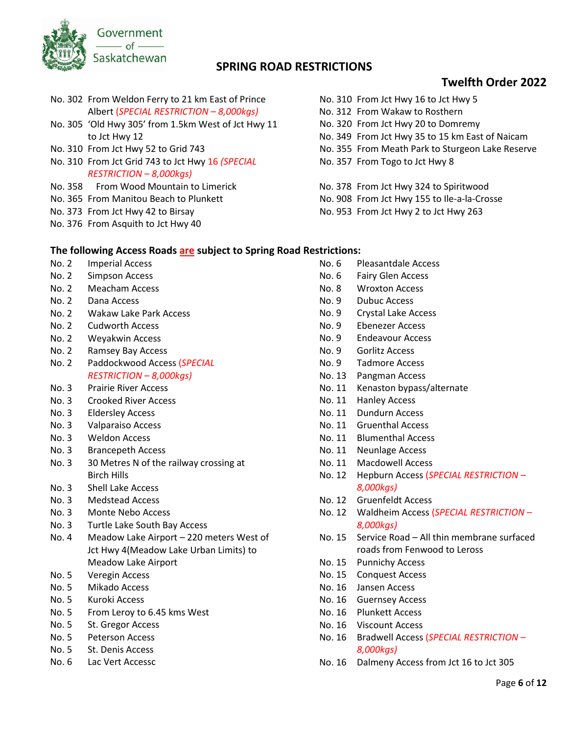

# **Twelfth Order 2022**

- No. 302 From Weldon Ferry to 21 km East of Prince Albert (*SPECIAL RESTRICTION – 8,000kgs)*
- No. 305 'Old Hwy 305' from 1.5km West of Jct Hwy 11 to Jct Hwy 12
- No. 310 From Jct Hwy 52 to Grid 743
- No. 310 From Jct Grid 743 to Jct Hwy 16 *(SPECIAL RESTRICTION – 8,000kgs)*
- No. 358 From Wood Mountain to Limerick
- No. 365 From Manitou Beach to Plunkett
- No. 373 From Jct Hwy 42 to Birsay
- No. 376 From Asquith to Jct Hwy 40
- No. 310 From Jct Hwy 16 to Jct Hwy 5
- No. 312 From Wakaw to Rosthern
- No. 320 From Jct Hwy 20 to Domremy
- No. 349 From Jct Hwy 35 to 15 km East of Naicam
- No. 355 From Meath Park to Sturgeon Lake Reserve
- No. 357 From Togo to Jct Hwy 8
- No. 378 From Jct Hwy 324 to Spiritwood
- No. 908 From Jct Hwy 155 to Ile-a-la-Crosse
- No. 953 From Jct Hwy 2 to Jct Hwy 263

#### **The following Access Roads are subject to Spring Road Restrictions:**

- No. 2 Imperial Access
- No. 2 Simpson Access
- No. 2 Meacham Access
- No. 2 Dana Access
- No. 2 Wakaw Lake Park Access
- No. 2 Cudworth Access
- No. 2 Weyakwin Access
- No. 2 Ramsey Bay Access
- No. 2 Paddockwood Access (*SPECIAL RESTRICTION – 8,000kgs)*
- No. 3 Prairie River Access
- No. 3 Crooked River Access
- No. 3 Eldersley Access
- No. 3 Valparaiso Access
- No. 3 Weldon Access
- No. 3 Brancepeth Access
- No. 3 30 Metres N of the railway crossing at Birch Hills
- No. 3 Shell Lake Access
- No. 3 Medstead Access
- No. 3 Monte Nebo Access
- No. 3 Turtle Lake South Bay Access
- No. 4 Meadow Lake Airport 220 meters West of Jct Hwy 4(Meadow Lake Urban Limits) to Meadow Lake Airport
- No. 5 Veregin Access
- No. 5 Mikado Access
- No. 5 Kuroki Access
- No. 5 From Leroy to 6.45 kms West
- No. 5 St. Gregor Access
- No. 5 Peterson Access
- No. 5 St. Denis Access
- No. 6 Lac Vert Accessc
- No. 6 Pleasantdale Access
- No. 6 Fairy Glen Access
- No. 8 Wroxton Access
- No. 9 Dubuc Access
- No. 9 Crystal Lake Access
- No. 9 Ebenezer Access
- No. 9 Endeavour Access
- No. 9 Gorlitz Access
- No. 9 Tadmore Access
- No. 13 Pangman Access
- No. 11 Kenaston bypass/alternate
- No. 11 Hanley Access
- No. 11 Dundurn Access
- No. 11 Gruenthal Access
- No. 11 Blumenthal Access
- No. 11 Neunlage Access
- No. 11 Macdowell Access
- No. 12 Hepburn Access (*SPECIAL RESTRICTION – 8,000kgs)*
- No. 12 Gruenfeldt Access
- No. 12 Waldheim Access (*SPECIAL RESTRICTION – 8,000kgs)*
- No. 15 Service Road All thin membrane surfaced roads from Fenwood to Leross
- No. 15 Punnichy Access
- No. 15 Conquest Access
- No. 16 Jansen Access
- No. 16 Guernsey Access
- No. 16 Plunkett Access
- No. 16 Viscount Access
- No. 16 Bradwell Access (*SPECIAL RESTRICTION – 8,000kgs)*
- No. 16 Dalmeny Access from Jct 16 to Jct 305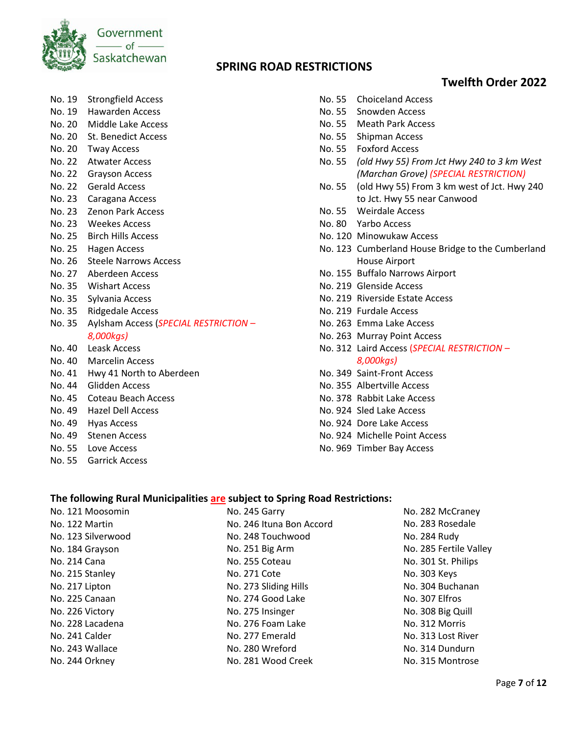

## **Twelfth Order 2022**

- No. 19 Strongfield Access
- No. 19 Hawarden Access
- No. 20 Middle Lake Access
- No. 20 St. Benedict Access
- No. 20 Tway Access
- No. 22 Atwater Access
- No. 22 Grayson Access
- No. 22 Gerald Access
- No. 23 Caragana Access
- No. 23 Zenon Park Access
- No. 23 Weekes Access
- No. 25 Birch Hills Access
- No. 25 Hagen Access
- No. 26 Steele Narrows Access
- No. 27 Aberdeen Access
- No. 35 Wishart Access
- No. 35 Sylvania Access
- No. 35 Ridgedale Access
- No. 35 Aylsham Access (*SPECIAL RESTRICTION – 8,000kgs)*
- No. 40 Leask Access
- No. 40 Marcelin Access
- No. 41 Hwy 41 North to Aberdeen
- No. 44 Glidden Access
- No. 45 Coteau Beach Access
- No. 49 Hazel Dell Access
- No. 49 Hyas Access
- No. 49 Stenen Access
- No. 55 Love Access

 $N = 121 M_{\odot}$ 

No. 55 Garrick Access

- No. 55 Choiceland Access
- No. 55 Snowden Access
- No. 55 Meath Park Access
- No. 55 Shipman Access
- No. 55 Foxford Access
- No. 55 *(old Hwy 55) From Jct Hwy 240 to 3 km West (Marchan Grove) (SPECIAL RESTRICTION)*
- No. 55 (old Hwy 55) From 3 km west of Jct. Hwy 240 to Jct. Hwy 55 near Canwood
- No. 55 Weirdale Access
- No. 80 Yarbo Access
- No. 120 Minowukaw Access
- No. 123 Cumberland House Bridge to the Cumberland House Airport
- No. 155 Buffalo Narrows Airport
- No. 219 Glenside Access
- No. 219 Riverside Estate Access
- No. 219 Furdale Access
- No. 263 Emma Lake Access
- No. 263 Murray Point Access
- No. 312 Laird Access (*SPECIAL RESTRICTION – 8,000kgs)*
- No. 349 Saint-Front Access
- No. 355 Albertville Access
- No. 378 Rabbit Lake Access
- No. 924 Sled Lake Access
- No. 924 Dore Lake Access
- No. 924 Michelle Point Access
- No. 969 Timber Bay Access

#### **The following Rural Municipalities are subject to Spring Road Restrictions:**

| NO. TZT MIOOSOMIN  |
|--------------------|
| No. 122 Martin     |
| No. 123 Silverwood |
| No. 184 Grayson    |
| No. 214 Cana       |
| No. 215 Stanley    |
| No. 217 Lipton     |
| No. 225 Canaan     |
| No. 226 Victory    |
| No. 228 Lacadena   |
| No. 241 Calder     |
| No. 243 Wallace    |
| No. 244 Orkney     |

- No. 245 Garry No. 246 Ituna Bon Accord No. 248 Touchwood No. 251 Big Arm No. 255 Coteau No. 271 Cote No. 273 Sliding Hills No. 274 Good Lake No. 275 Insinger No. 276 Foam Lake No. 277 Emerald No. 280 Wreford No. 281 Wood Creek
- No. 282 McCraney No. 283 Rosedale No. 284 Rudy No. 285 Fertile Valley No. 301 St. Philips No. 303 Keys No. 304 Buchanan No. 307 Elfros No. 308 Big Quill No. 312 Morris No. 313 Lost River No. 314 Dundurn No. 315 Montrose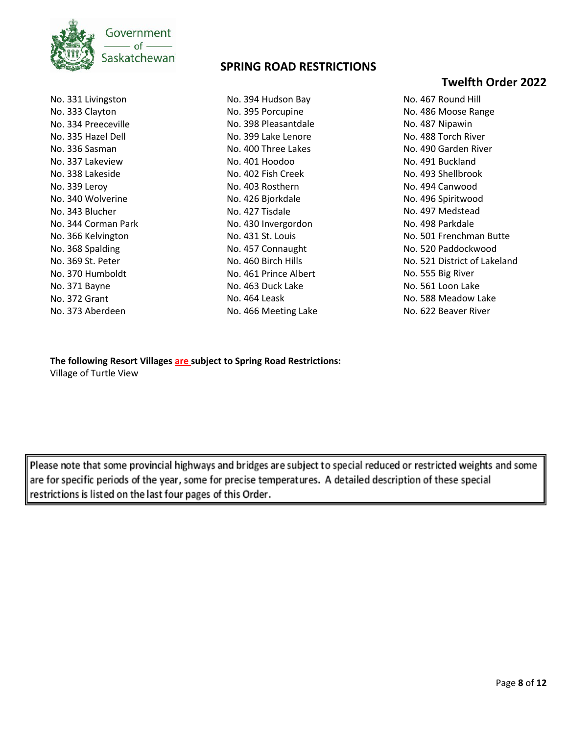

No. 331 Livingston No. 333 Clayton No. 334 Preeceville No. 335 Hazel Dell No. 336 Sasman No. 337 Lakeview No. 338 Lakeside No. 339 Leroy No. 340 Wolverine No. 343 Blucher No. 344 Corman Park No. 366 Kelvington No. 368 Spalding No. 369 St. Peter No. 370 Humboldt No. 371 Bayne No. 372 Grant No. 373 Aberdeen

### **SPRING ROAD RESTRICTIONS**

No. 394 Hudson Bay No. 395 Porcupine No. 398 Pleasantdale No. 399 Lake Lenore No. 400 Three Lakes No. 401 Hoodoo No. 402 Fish Creek No. 403 Rosthern No. 426 Bjorkdale No. 427 Tisdale No. 430 Invergordon No. 431 St. Louis No. 457 Connaught No. 460 Birch Hills No. 461 Prince Albert No. 463 Duck Lake No. 464 Leask No. 466 Meeting Lake

## **Twelfth Order 2022**

No. 467 Round Hill No. 486 Moose Range No. 487 Nipawin No. 488 Torch River No. 490 Garden River No. 491 Buckland No. 493 Shellbrook No. 494 Canwood No. 496 Spiritwood No. 497 Medstead No. 498 Parkdale No. 501 Frenchman Butte No. 520 Paddockwood No. 521 District of Lakeland No. 555 Big River No. 561 Loon Lake No. 588 Meadow Lake No. 622 Beaver River

**The following Resort Villages are subject to Spring Road Restrictions:** Village of Turtle View

Please note that some provincial highways and bridges are subject to special reduced or restricted weights and some are for specific periods of the year, some for precise temperatures. A detailed description of these special restrictions is listed on the last four pages of this Order.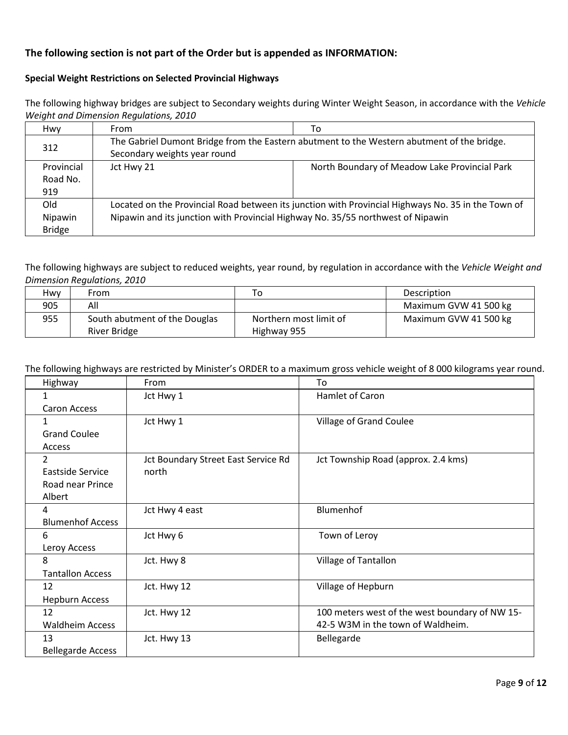### **The following section is not part of the Order but is appended as INFORMATION:**

#### **Special Weight Restrictions on Selected Provincial Highways**

The following highway bridges are subject to Secondary weights during Winter Weight Season, in accordance with the *Vehicle Weight and Dimension Regulations, 2010*

| Hwy           | From                                                                                               | To                                            |
|---------------|----------------------------------------------------------------------------------------------------|-----------------------------------------------|
| 312           | The Gabriel Dumont Bridge from the Eastern abutment to the Western abutment of the bridge.         |                                               |
|               | Secondary weights year round                                                                       |                                               |
| Provincial    | Jct Hwy 21                                                                                         | North Boundary of Meadow Lake Provincial Park |
| Road No.      |                                                                                                    |                                               |
| 919           |                                                                                                    |                                               |
| Old           | Located on the Provincial Road between its junction with Provincial Highways No. 35 in the Town of |                                               |
| Nipawin       | Nipawin and its junction with Provincial Highway No. 35/55 northwest of Nipawin                    |                                               |
| <b>Bridge</b> |                                                                                                    |                                               |

The following highways are subject to reduced weights, year round, by regulation in accordance with the *Vehicle Weight and Dimension Regulations, 2010*

| Hwy | From                          | ı o                    | <b>Description</b>    |
|-----|-------------------------------|------------------------|-----------------------|
| 905 | All                           |                        | Maximum GVW 41 500 kg |
| 955 | South abutment of the Douglas | Northern most limit of | Maximum GVW 41 500 kg |
|     | <b>River Bridge</b>           | Highway 955            |                       |

#### The following highways are restricted by Minister's ORDER to a maximum gross vehicle weight of 8 000 kilograms year round.

| Highway                  | From                                | To                                             |
|--------------------------|-------------------------------------|------------------------------------------------|
|                          | Jct Hwy 1                           | Hamlet of Caron                                |
| <b>Caron Access</b>      |                                     |                                                |
| 1                        | Jct Hwy 1                           | Village of Grand Coulee                        |
| <b>Grand Coulee</b>      |                                     |                                                |
| Access                   |                                     |                                                |
| $\overline{2}$           | Jct Boundary Street East Service Rd | Jct Township Road (approx. 2.4 kms)            |
| Eastside Service         | north                               |                                                |
| Road near Prince         |                                     |                                                |
| Albert                   |                                     |                                                |
| 4                        | Jct Hwy 4 east                      | Blumenhof                                      |
| <b>Blumenhof Access</b>  |                                     |                                                |
| 6                        | Jct Hwy 6                           | Town of Leroy                                  |
| Leroy Access             |                                     |                                                |
| 8                        | Jct. Hwy 8                          | Village of Tantallon                           |
| <b>Tantallon Access</b>  |                                     |                                                |
| 12                       | Jct. Hwy 12                         | Village of Hepburn                             |
| <b>Hepburn Access</b>    |                                     |                                                |
| 12                       | Jct. Hwy 12                         | 100 meters west of the west boundary of NW 15- |
| <b>Waldheim Access</b>   |                                     | 42-5 W3M in the town of Waldheim.              |
| 13                       | Jct. Hwy 13                         | Bellegarde                                     |
| <b>Bellegarde Access</b> |                                     |                                                |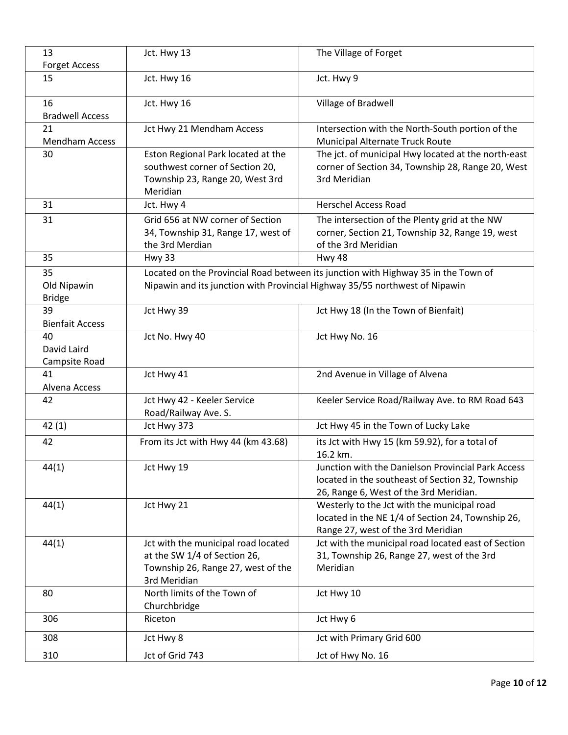| 13                     | Jct. Hwy 13                                        | The Village of Forget                                                              |
|------------------------|----------------------------------------------------|------------------------------------------------------------------------------------|
| <b>Forget Access</b>   |                                                    |                                                                                    |
| 15                     | Jct. Hwy 16                                        | Jct. Hwy 9                                                                         |
| 16                     | Jct. Hwy 16                                        | Village of Bradwell                                                                |
| <b>Bradwell Access</b> |                                                    |                                                                                    |
| 21                     | Jct Hwy 21 Mendham Access                          | Intersection with the North-South portion of the                                   |
| <b>Mendham Access</b>  |                                                    | Municipal Alternate Truck Route                                                    |
| 30                     | Eston Regional Park located at the                 | The jct. of municipal Hwy located at the north-east                                |
|                        | southwest corner of Section 20,                    | corner of Section 34, Township 28, Range 20, West                                  |
|                        | Township 23, Range 20, West 3rd                    | 3rd Meridian                                                                       |
|                        | Meridian                                           |                                                                                    |
| 31                     | Jct. Hwy 4                                         | <b>Herschel Access Road</b>                                                        |
| 31                     | Grid 656 at NW corner of Section                   | The intersection of the Plenty grid at the NW                                      |
|                        | 34, Township 31, Range 17, west of                 | corner, Section 21, Township 32, Range 19, west                                    |
|                        | the 3rd Merdian                                    | of the 3rd Meridian                                                                |
| 35                     | <b>Hwy 33</b>                                      | Hwy 48                                                                             |
| 35                     |                                                    | Located on the Provincial Road between its junction with Highway 35 in the Town of |
| Old Nipawin            |                                                    | Nipawin and its junction with Provincial Highway 35/55 northwest of Nipawin        |
| <b>Bridge</b>          |                                                    |                                                                                    |
| 39                     | Jct Hwy 39                                         | Jct Hwy 18 (In the Town of Bienfait)                                               |
| <b>Bienfait Access</b> |                                                    |                                                                                    |
| 40                     | Jct No. Hwy 40                                     | Jct Hwy No. 16                                                                     |
| David Laird            |                                                    |                                                                                    |
| Campsite Road          |                                                    |                                                                                    |
| 41                     | Jct Hwy 41                                         | 2nd Avenue in Village of Alvena                                                    |
| Alvena Access          |                                                    |                                                                                    |
| 42                     | Jct Hwy 42 - Keeler Service                        | Keeler Service Road/Railway Ave. to RM Road 643                                    |
|                        | Road/Railway Ave. S.                               |                                                                                    |
| 42(1)                  | Jct Hwy 373                                        | Jct Hwy 45 in the Town of Lucky Lake                                               |
| 42                     | From its Jct with Hwy 44 (km 43.68)                | its Jct with Hwy 15 (km 59.92), for a total of                                     |
|                        |                                                    | 16.2 km.                                                                           |
| 44(1)                  | Jct Hwy 19                                         | Junction with the Danielson Provincial Park Access                                 |
|                        |                                                    | located in the southeast of Section 32, Township                                   |
|                        |                                                    | 26, Range 6, West of the 3rd Meridian.                                             |
| 44(1)                  | Jct Hwy 21                                         | Westerly to the Jct with the municipal road                                        |
|                        |                                                    | located in the NE 1/4 of Section 24, Township 26,                                  |
|                        |                                                    | Range 27, west of the 3rd Meridian                                                 |
| 44(1)                  | Jct with the municipal road located                | Jct with the municipal road located east of Section                                |
|                        | at the SW 1/4 of Section 26,                       | 31, Township 26, Range 27, west of the 3rd                                         |
|                        | Township 26, Range 27, west of the<br>3rd Meridian | Meridian                                                                           |
| 80                     | North limits of the Town of                        | Jct Hwy 10                                                                         |
|                        | Churchbridge                                       |                                                                                    |
| 306                    | Riceton                                            | Jct Hwy 6                                                                          |
| 308                    | Jct Hwy 8                                          | Jct with Primary Grid 600                                                          |
| 310                    | Jct of Grid 743                                    | Jct of Hwy No. 16                                                                  |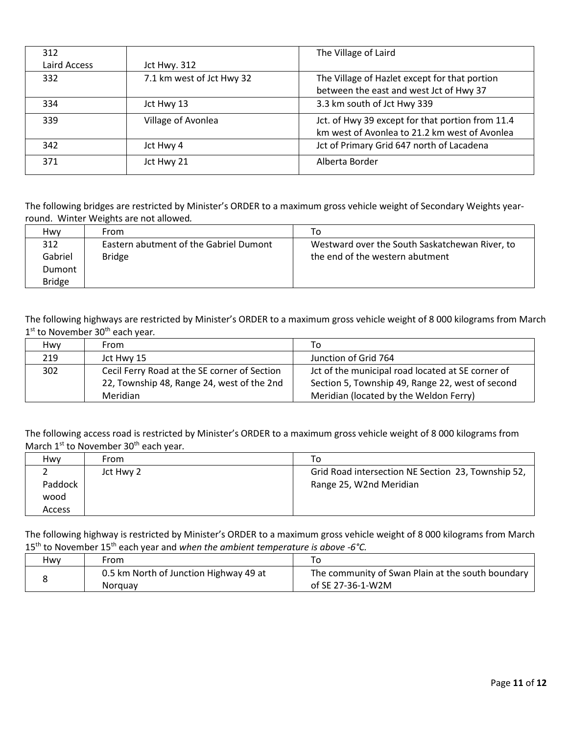| 312          |                           | The Village of Laird                             |
|--------------|---------------------------|--------------------------------------------------|
| Laird Access | <b>Jct Hwy. 312</b>       |                                                  |
| 332          | 7.1 km west of Jct Hwy 32 | The Village of Hazlet except for that portion    |
|              |                           | between the east and west Jct of Hwy 37          |
| 334          | Jct Hwy 13                | 3.3 km south of Jct Hwy 339                      |
| 339          | Village of Avonlea        | Jct. of Hwy 39 except for that portion from 11.4 |
|              |                           | km west of Avonlea to 21.2 km west of Avonlea    |
| 342          | Jct Hwy 4                 | Jct of Primary Grid 647 north of Lacadena        |
| 371          | Jct Hwy 21                | Alberta Border                                   |

The following bridges are restricted by Minister's ORDER to a maximum gross vehicle weight of Secondary Weights yearround. Winter Weights are not allowed*.*

| Hwv           | From                                   | To                                             |
|---------------|----------------------------------------|------------------------------------------------|
| 312           | Eastern abutment of the Gabriel Dumont | Westward over the South Saskatchewan River, to |
| Gabriel       | <b>Bridge</b>                          | the end of the western abutment                |
| Dumont        |                                        |                                                |
| <b>Bridge</b> |                                        |                                                |

The following highways are restricted by Minister's ORDER to a maximum gross vehicle weight of 8 000 kilograms from March 1st to November 30th each year*.*

| Hwv | From                                         | To                                                |
|-----|----------------------------------------------|---------------------------------------------------|
| 219 | Jct Hwy 15                                   | Junction of Grid 764                              |
| 302 | Cecil Ferry Road at the SE corner of Section | Jct of the municipal road located at SE corner of |
|     | 22, Township 48, Range 24, west of the 2nd   | Section 5, Township 49, Range 22, west of second  |
|     | Meridian                                     | Meridian (located by the Weldon Ferry)            |

The following access road is restricted by Minister's ORDER to a maximum gross vehicle weight of 8 000 kilograms from March 1<sup>st</sup> to November 30<sup>th</sup> each year. 

| Hwy     | From      | To                                                 |
|---------|-----------|----------------------------------------------------|
|         | Jct Hwy 2 | Grid Road intersection NE Section 23, Township 52, |
| Paddock |           | Range 25, W2nd Meridian                            |
| wood    |           |                                                    |
| Access  |           |                                                    |

The following highway is restricted by Minister's ORDER to a maximum gross vehicle weight of 8 000 kilograms from March 15th to November 15th each year and *when the ambient temperature is above -6°C.*

| Hwv | From                                   |                                                   |
|-----|----------------------------------------|---------------------------------------------------|
|     | 0.5 km North of Junction Highway 49 at | The community of Swan Plain at the south boundary |
|     | Norguay                                | of SE 27-36-1-W2M                                 |